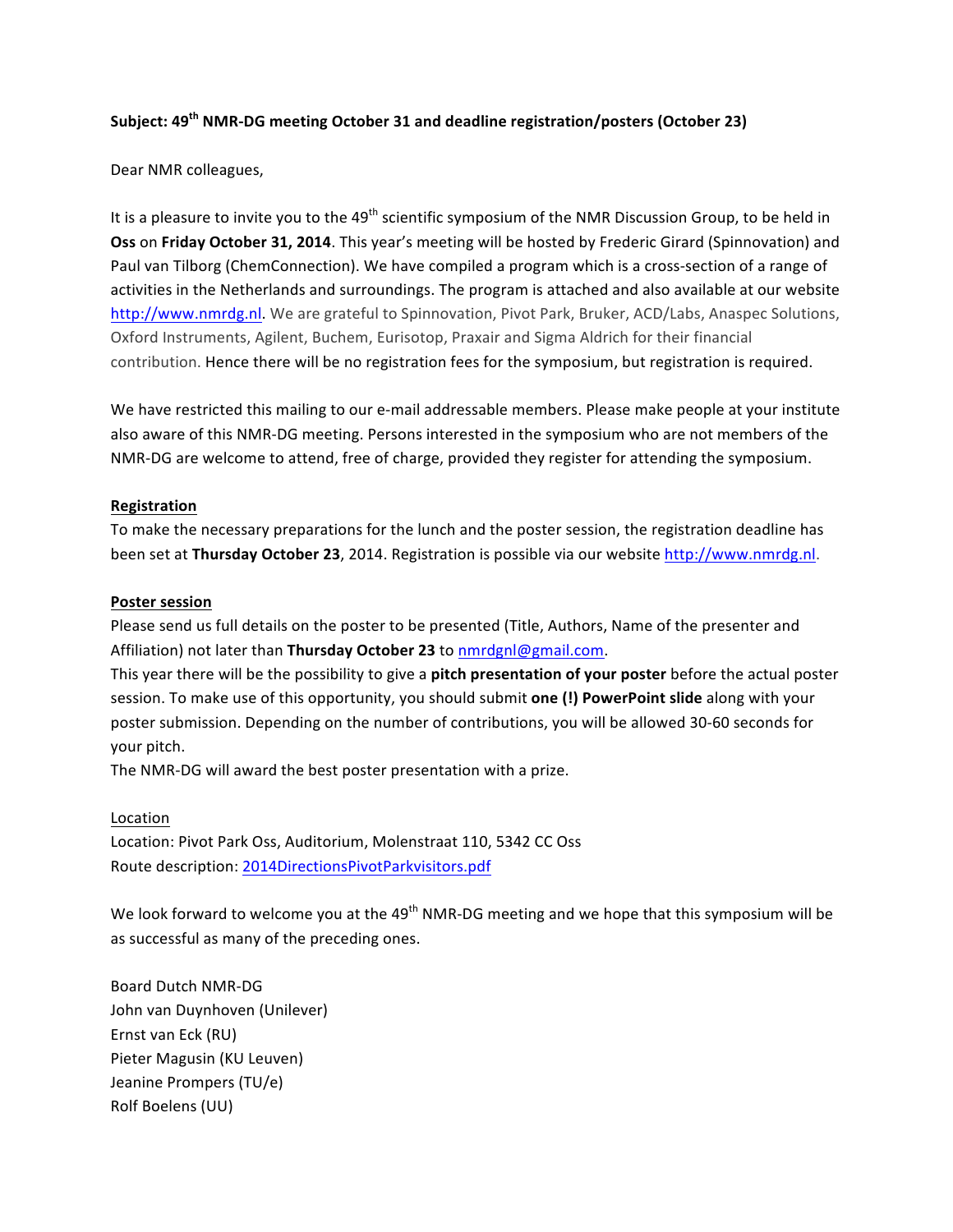# **Subject:)49th NMR0DG)meeting)October)31 and deadline registration/posters)(October)23)**

Dear NMR colleagues,

It is a pleasure to invite you to the 49<sup>th</sup> scientific symposium of the NMR Discussion Group, to be held in **Oss** on **Friday October 31, 2014**. This year's meeting will be hosted by Frederic Girard (Spinnovation) and Paul van Tilborg (ChemConnection). We have compiled a program which is a cross-section of a range of activities in the Netherlands and surroundings. The program is attached and also available at our website http://www.nmrdg.nl. We are grateful to Spinnovation, Pivot Park, Bruker, ACD/Labs, Anaspec Solutions, Oxford Instruments, Agilent, Buchem, Eurisotop, Praxair and Sigma Aldrich for their financial contribution. Hence there will be no registration fees for the symposium, but registration is required.

We have restricted this mailing to our e-mail addressable members. Please make people at your institute also aware of this NMR-DG meeting. Persons interested in the symposium who are not members of the NMR-DG are welcome to attend, free of charge, provided they register for attending the symposium.

### **Registration**

To make the necessary preparations for the lunch and the poster session, the registration deadline has been set at **Thursday October 23**, 2014. Registration is possible via our website http://www.nmrdg.nl.

### **Poster session**

Please send us full details on the poster to be presented (Title, Authors, Name of the presenter and Affiliation) not later than Thursday October 23 to nmrdgnl@gmail.com.

This year there will be the possibility to give a **pitch presentation of your poster** before the actual poster session. To make use of this opportunity, you should submit one (!) PowerPoint slide along with your poster submission. Depending on the number of contributions, you will be allowed 30-60 seconds for your pitch.

The NMR-DG will award the best poster presentation with a prize.

## Location

Location: Pivot Park Oss, Auditorium, Molenstraat 110, 5342 CC Oss Route description: 2014DirectionsPivotParkvisitors.pdf

We look forward to welcome you at the 49<sup>th</sup> NMR-DG meeting and we hope that this symposium will be as successful as many of the preceding ones.

Board Dutch NMR-DG John van Duynhoven (Unilever) Ernst van Eck (RU) Pieter Magusin (KU Leuven) Jeanine Prompers (TU/e) Rolf Boelens (UU)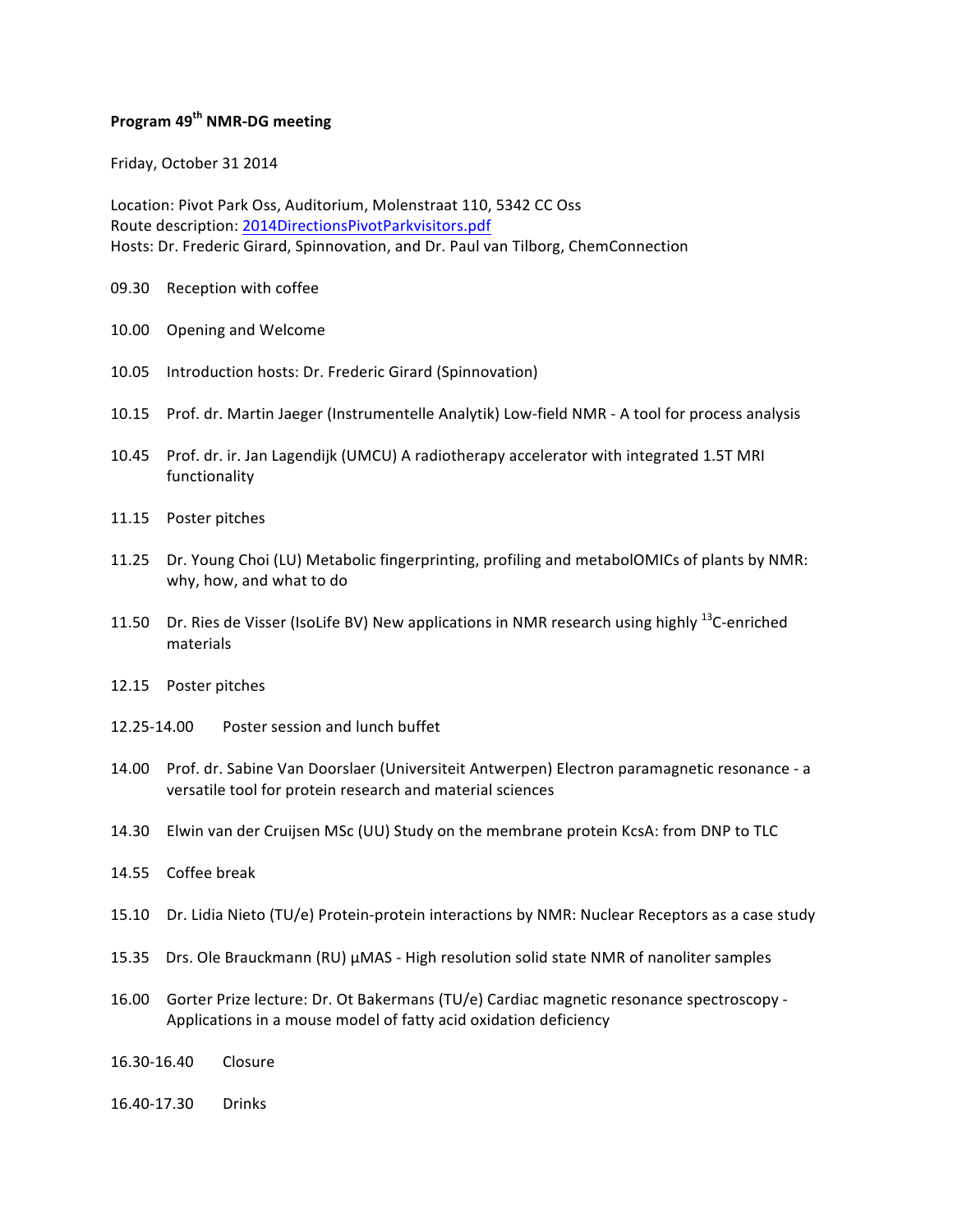# **Program 49th NMR-DG meeting**

Friday, October 31 2014

Location: Pivot Park Oss, Auditorium, Molenstraat 110, 5342 CC Oss Route description: 2014DirectionsPivotParkvisitors.pdf Hosts: Dr. Frederic Girard, Spinnovation, and Dr. Paul van Tilborg, ChemConnection

- 09.30 Reception with coffee
- 10.00 Opening and Welcome
- 10.05 Introduction hosts: Dr. Frederic Girard (Spinnovation)
- 10.15 Prof. dr. Martin Jaeger (Instrumentelle Analytik) Low-field NMR A tool for process analysis
- 10.45 Prof. dr. ir. Jan Lagendijk (UMCU) A radiotherapy accelerator with integrated 1.5T MRI functionality
- 11.15 Poster pitches
- 11.25 Dr. Young Choi (LU) Metabolic fingerprinting, profiling and metabolOMICs of plants by NMR: why, how, and what to do
- 11.50 Dr. Ries de Visser (IsoLife BV) New applications in NMR research using highly <sup>13</sup>C-enriched materials
- 12.15 Poster pitches
- 12.25-14.00 Poster session and lunch buffet
- 14.00 Prof. dr. Sabine Van Doorslaer (Universiteit Antwerpen) Electron paramagnetic resonance a versatile tool for protein research and material sciences
- 14.30 Elwin van der Cruijsen MSc (UU) Study on the membrane protein KcsA: from DNP to TLC
- 14.55 Coffee break
- 15.10 Dr. Lidia Nieto (TU/e) Protein-protein interactions by NMR: Nuclear Receptors as a case study
- 15.35 Drs. Ole Brauckmann (RU)  $\mu$ MAS High resolution solid state NMR of nanoliter samples
- 16.00 Gorter Prize lecture: Dr. Ot Bakermans (TU/e) Cardiac magnetic resonance spectroscopy -Applications in a mouse model of fatty acid oxidation deficiency
- 16.30-16.40 Closure
- 16.40-17.30 Drinks